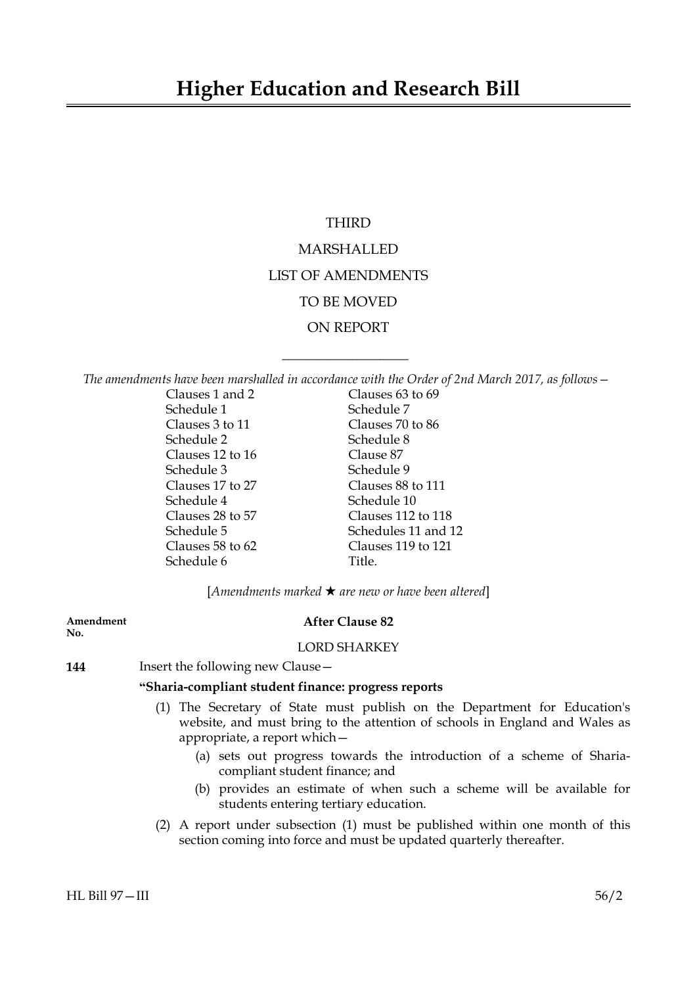# THIRD

# MARSHALLED LIST OF AMENDMENTS TO BE MOVED ON REPORT

*The amendments have been marshalled in accordance with the Order of 2nd March 2017, as follows—*

 $\overline{\phantom{a}}$  , where  $\overline{\phantom{a}}$ 

| Clauses 1 and 2  | Clauses 63 to 69    |  |
|------------------|---------------------|--|
| Schedule 1       | Schedule 7          |  |
| Clauses 3 to 11  | Clauses 70 to 86    |  |
| Schedule 2       | Schedule 8          |  |
| Clauses 12 to 16 | Clause 87           |  |
| Schedule 3       | Schedule 9          |  |
| Clauses 17 to 27 | Clauses 88 to 111   |  |
| Schedule 4       | Schedule 10         |  |
| Clauses 28 to 57 | Clauses 112 to 118  |  |
| Schedule 5       | Schedules 11 and 12 |  |
| Clauses 58 to 62 | Clauses 119 to 121  |  |
| Schedule 6       | Title.              |  |

 $[Amendments marked \star are new or have been altered]$ 

# **No.**

# **Amendment After Clause 82**

# LORD SHARKEY

**144** Insert the following new Clause—

# **"Sharia-compliant student finance: progress reports**

- (1) The Secretary of State must publish on the Department for Education's website, and must bring to the attention of schools in England and Wales as appropriate, a report which—
	- (a) sets out progress towards the introduction of a scheme of Shariacompliant student finance; and
	- (b) provides an estimate of when such a scheme will be available for students entering tertiary education.
- (2) A report under subsection (1) must be published within one month of this section coming into force and must be updated quarterly thereafter.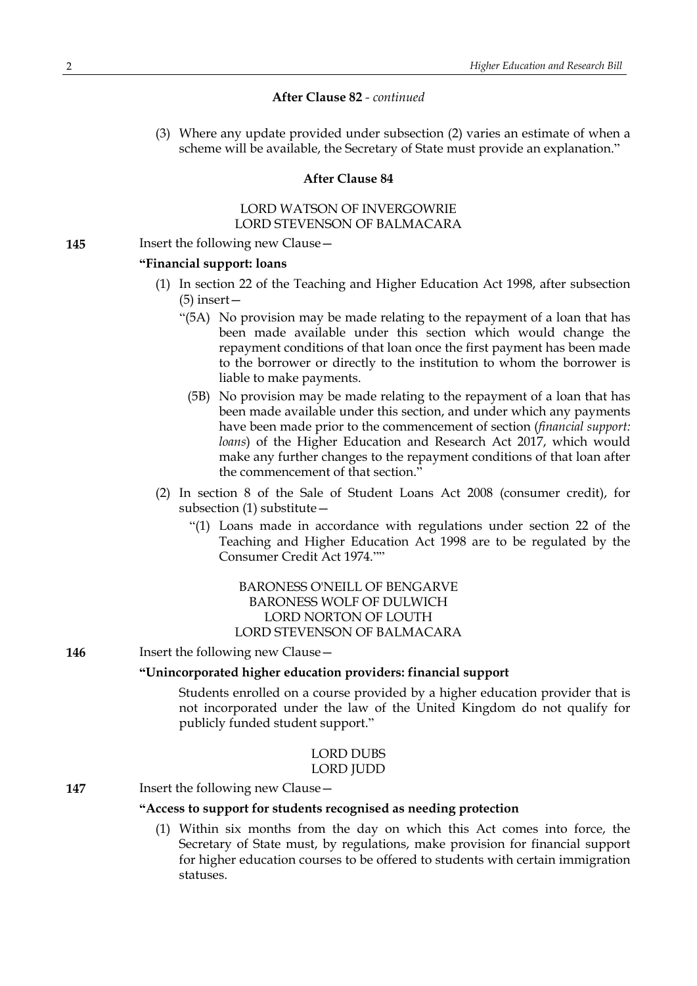# **After Clause 82** *- continued*

(3) Where any update provided under subsection (2) varies an estimate of when a scheme will be available, the Secretary of State must provide an explanation."

#### **After Clause 84**

#### LORD WATSON OF INVERGOWRIE LORD STEVENSON OF BALMACARA

**145** Insert the following new Clause -

# **"Financial support: loans**

- (1) In section 22 of the Teaching and Higher Education Act 1998, after subsection (5) insert—
	- "(5A) No provision may be made relating to the repayment of a loan that has been made available under this section which would change the repayment conditions of that loan once the first payment has been made to the borrower or directly to the institution to whom the borrower is liable to make payments.
		- (5B) No provision may be made relating to the repayment of a loan that has been made available under this section, and under which any payments have been made prior to the commencement of section (*financial support: loans*) of the Higher Education and Research Act 2017, which would make any further changes to the repayment conditions of that loan after the commencement of that section."
- (2) In section 8 of the Sale of Student Loans Act 2008 (consumer credit), for subsection (1) substitute—
	- "(1) Loans made in accordance with regulations under section 22 of the Teaching and Higher Education Act 1998 are to be regulated by the Consumer Credit Act 1974.""

# BARONESS O'NEILL OF BENGARVE BARONESS WOLF OF DULWICH LORD NORTON OF LOUTH LORD STEVENSON OF BALMACARA

**146** Insert the following new Clause -

# **"Unincorporated higher education providers: financial support**

Students enrolled on a course provided by a higher education provider that is not incorporated under the law of the United Kingdom do not qualify for publicly funded student support."

### LORD DUBS LORD JUDD

**147** Insert the following new Clause –

#### **"Access to support for students recognised as needing protection**

(1) Within six months from the day on which this Act comes into force, the Secretary of State must, by regulations, make provision for financial support for higher education courses to be offered to students with certain immigration statuses.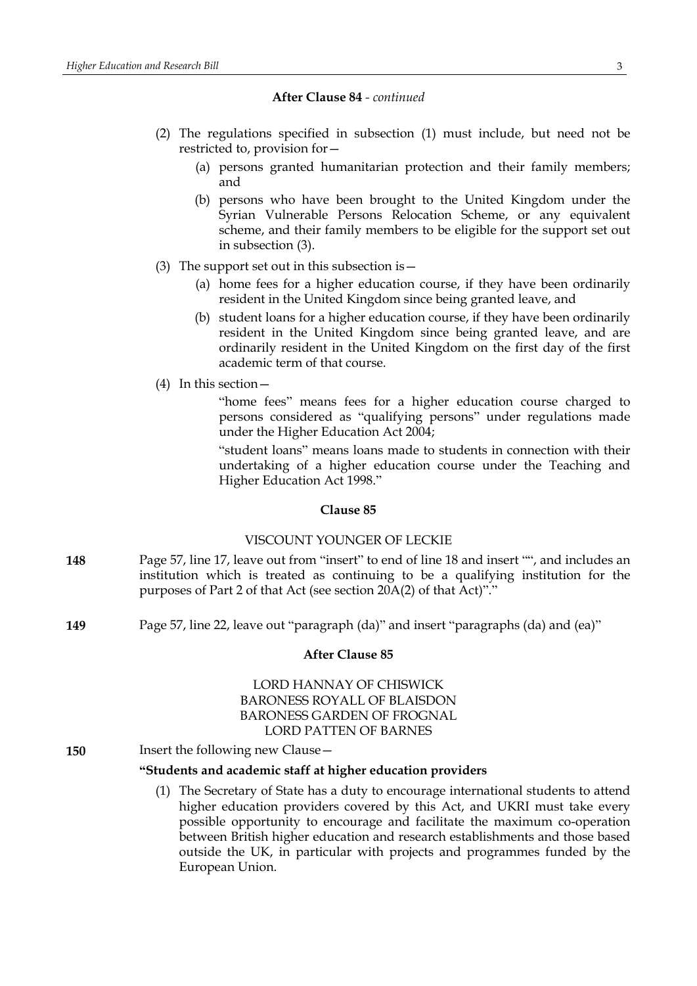#### **After Clause 84** *- continued*

- (2) The regulations specified in subsection (1) must include, but need not be restricted to, provision for—
	- (a) persons granted humanitarian protection and their family members; and
	- (b) persons who have been brought to the United Kingdom under the Syrian Vulnerable Persons Relocation Scheme, or any equivalent scheme, and their family members to be eligible for the support set out in subsection (3).
- (3) The support set out in this subsection is  $-$ 
	- (a) home fees for a higher education course, if they have been ordinarily resident in the United Kingdom since being granted leave, and
	- (b) student loans for a higher education course, if they have been ordinarily resident in the United Kingdom since being granted leave, and are ordinarily resident in the United Kingdom on the first day of the first academic term of that course.
- (4) In this section—

"home fees" means fees for a higher education course charged to persons considered as "qualifying persons" under regulations made under the Higher Education Act 2004;

"student loans" means loans made to students in connection with their undertaking of a higher education course under the Teaching and Higher Education Act 1998."

# **Clause 85**

## VISCOUNT YOUNGER OF LECKIE

- **148** Page 57, line 17, leave out from "insert" to end of line 18 and insert "", and includes an institution which is treated as continuing to be a qualifying institution for the purposes of Part 2 of that Act (see section 20A(2) of that Act)"."
- **149** Page 57, line 22, leave out "paragraph (da)" and insert "paragraphs (da) and (ea)"

#### **After Clause 85**

# LORD HANNAY OF CHISWICK BARONESS ROYALL OF BLAISDON BARONESS GARDEN OF FROGNAL LORD PATTEN OF BARNES

**150** Insert the following new Clause—

# **"Students and academic staff at higher education providers**

(1) The Secretary of State has a duty to encourage international students to attend higher education providers covered by this Act, and UKRI must take every possible opportunity to encourage and facilitate the maximum co-operation between British higher education and research establishments and those based outside the UK, in particular with projects and programmes funded by the European Union.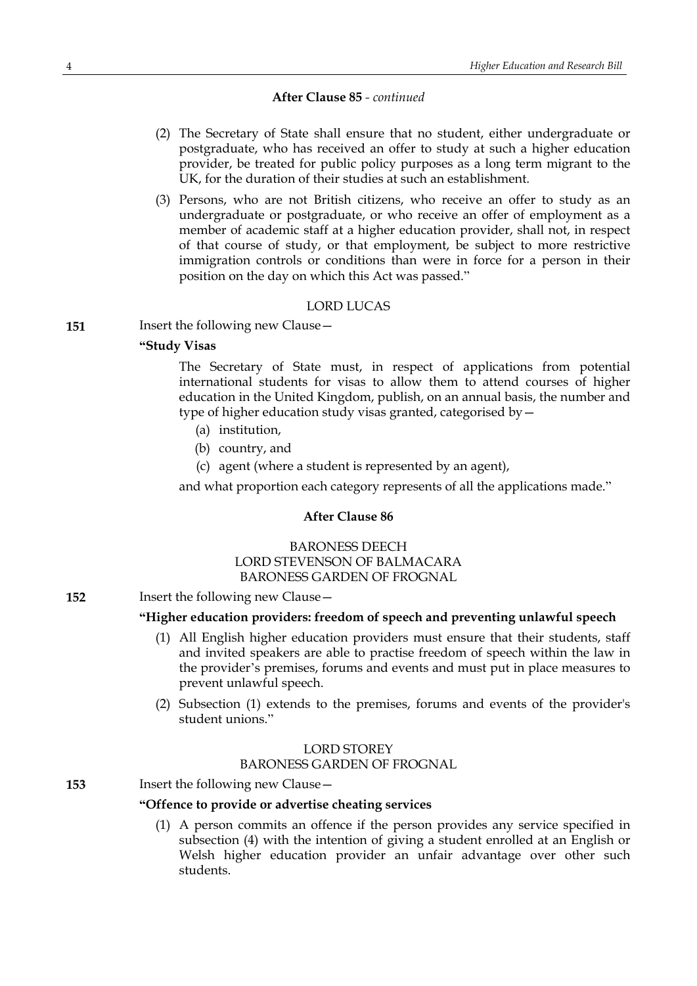# **After Clause 85** *- continued*

- (2) The Secretary of State shall ensure that no student, either undergraduate or postgraduate, who has received an offer to study at such a higher education provider, be treated for public policy purposes as a long term migrant to the UK, for the duration of their studies at such an establishment.
- (3) Persons, who are not British citizens, who receive an offer to study as an undergraduate or postgraduate, or who receive an offer of employment as a member of academic staff at a higher education provider, shall not, in respect of that course of study, or that employment, be subject to more restrictive immigration controls or conditions than were in force for a person in their position on the day on which this Act was passed."

#### LORD LUCAS

**151** Insert the following new Clause -

## **"Study Visas**

The Secretary of State must, in respect of applications from potential international students for visas to allow them to attend courses of higher education in the United Kingdom, publish, on an annual basis, the number and type of higher education study visas granted, categorised by—

- (a) institution,
- (b) country, and
- (c) agent (where a student is represented by an agent),

and what proportion each category represents of all the applications made."

#### **After Clause 86**

# BARONESS DEECH LORD STEVENSON OF BALMACARA BARONESS GARDEN OF FROGNAL

**152** Insert the following new Clause—

#### **"Higher education providers: freedom of speech and preventing unlawful speech**

- (1) All English higher education providers must ensure that their students, staff and invited speakers are able to practise freedom of speech within the law in the provider's premises, forums and events and must put in place measures to prevent unlawful speech.
- (2) Subsection (1) extends to the premises, forums and events of the provider's student unions."

# LORD STOREY

BARONESS GARDEN OF FROGNAL

#### **153** Insert the following new Clause—

#### **"Offence to provide or advertise cheating services**

(1) A person commits an offence if the person provides any service specified in subsection (4) with the intention of giving a student enrolled at an English or Welsh higher education provider an unfair advantage over other such students.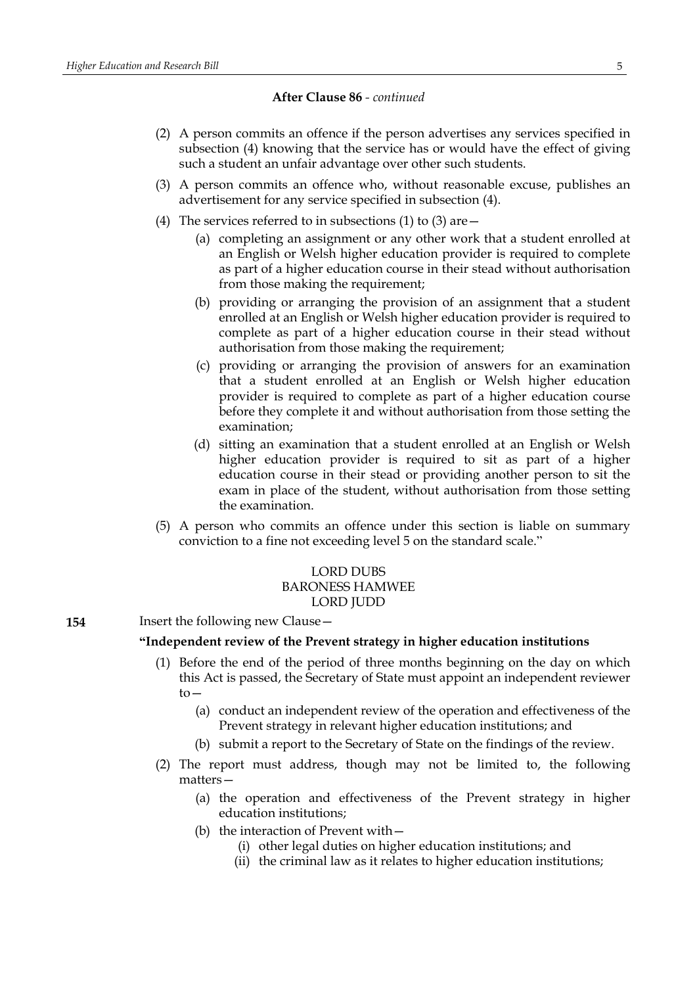**After Clause 86** *- continued*

- (2) A person commits an offence if the person advertises any services specified in subsection (4) knowing that the service has or would have the effect of giving such a student an unfair advantage over other such students.
- (3) A person commits an offence who, without reasonable excuse, publishes an advertisement for any service specified in subsection (4).
- (4) The services referred to in subsections (1) to (3) are  $-$ 
	- (a) completing an assignment or any other work that a student enrolled at an English or Welsh higher education provider is required to complete as part of a higher education course in their stead without authorisation from those making the requirement;
	- (b) providing or arranging the provision of an assignment that a student enrolled at an English or Welsh higher education provider is required to complete as part of a higher education course in their stead without authorisation from those making the requirement;
	- (c) providing or arranging the provision of answers for an examination that a student enrolled at an English or Welsh higher education provider is required to complete as part of a higher education course before they complete it and without authorisation from those setting the examination;
	- (d) sitting an examination that a student enrolled at an English or Welsh higher education provider is required to sit as part of a higher education course in their stead or providing another person to sit the exam in place of the student, without authorisation from those setting the examination.
- (5) A person who commits an offence under this section is liable on summary conviction to a fine not exceeding level 5 on the standard scale."

# LORD DUBS BARONESS HAMWEE LORD JUDD

**154** Insert the following new Clause –

#### **"Independent review of the Prevent strategy in higher education institutions**

- (1) Before the end of the period of three months beginning on the day on which this Act is passed, the Secretary of State must appoint an independent reviewer to—
	- (a) conduct an independent review of the operation and effectiveness of the Prevent strategy in relevant higher education institutions; and
	- (b) submit a report to the Secretary of State on the findings of the review.
- (2) The report must address, though may not be limited to, the following matters—
	- (a) the operation and effectiveness of the Prevent strategy in higher education institutions;
	- (b) the interaction of Prevent with—
		- (i) other legal duties on higher education institutions; and
		- (ii) the criminal law as it relates to higher education institutions;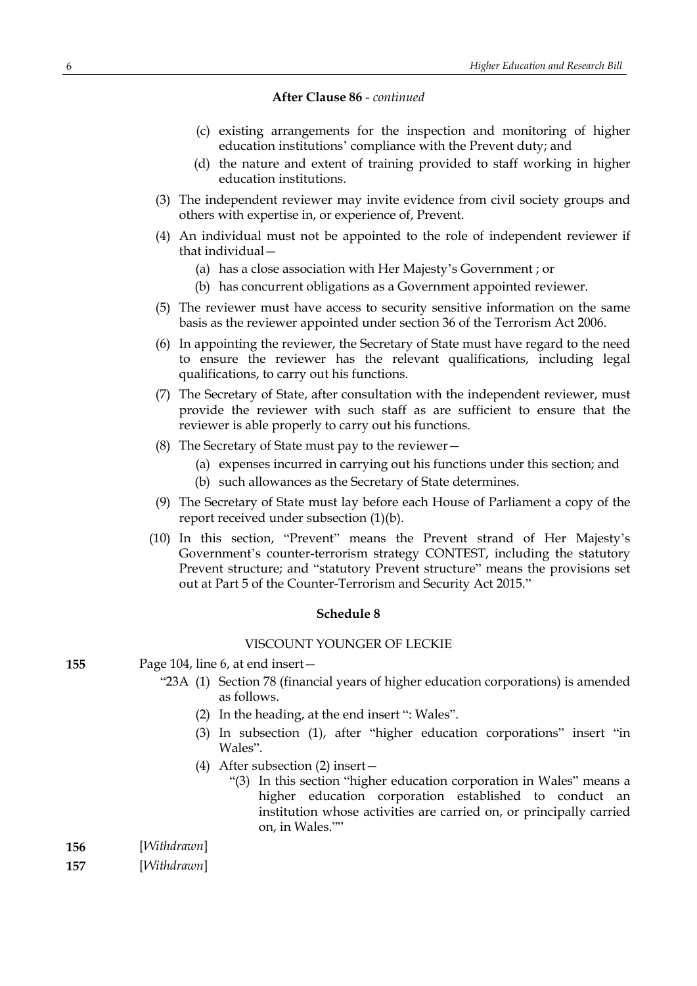#### **After Clause 86** *- continued*

- (c) existing arrangements for the inspection and monitoring of higher education institutions' compliance with the Prevent duty; and
- (d) the nature and extent of training provided to staff working in higher education institutions.
- (3) The independent reviewer may invite evidence from civil society groups and others with expertise in, or experience of, Prevent.
- (4) An individual must not be appointed to the role of independent reviewer if that individual—
	- (a) has a close association with Her Majesty's Government ; or
	- (b) has concurrent obligations as a Government appointed reviewer.
- (5) The reviewer must have access to security sensitive information on the same basis as the reviewer appointed under section 36 of the Terrorism Act 2006.
- (6) In appointing the reviewer, the Secretary of State must have regard to the need to ensure the reviewer has the relevant qualifications, including legal qualifications, to carry out his functions.
- (7) The Secretary of State, after consultation with the independent reviewer, must provide the reviewer with such staff as are sufficient to ensure that the reviewer is able properly to carry out his functions.
- (8) The Secretary of State must pay to the reviewer—
	- (a) expenses incurred in carrying out his functions under this section; and
	- (b) such allowances as the Secretary of State determines.
- (9) The Secretary of State must lay before each House of Parliament a copy of the report received under subsection (1)(b).
- (10) In this section, "Prevent" means the Prevent strand of Her Majesty's Government's counter-terrorism strategy CONTEST, including the statutory Prevent structure; and "statutory Prevent structure" means the provisions set out at Part 5 of the Counter-Terrorism and Security Act 2015."

#### **Schedule 8**

#### VISCOUNT YOUNGER OF LECKIE

- **155** Page 104, line 6, at end insert—
	- "23A (1) Section 78 (financial years of higher education corporations) is amended as follows.
		- (2) In the heading, at the end insert ": Wales".
		- (3) In subsection (1), after "higher education corporations" insert "in Wales".
		- (4) After subsection (2) insert—
			- "(3) In this section "higher education corporation in Wales" means a higher education corporation established to conduct an institution whose activities are carried on, or principally carried on, in Wales.""
- **156** [*Withdrawn*]
- **157** [*Withdrawn*]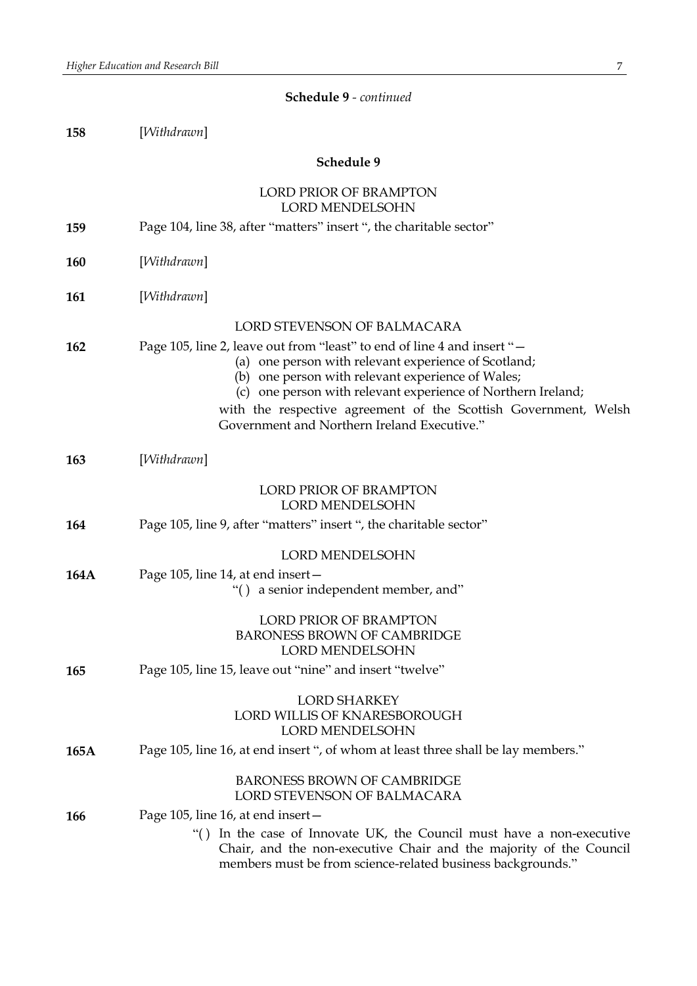| 158        | [Withdrawn]                                                         |
|------------|---------------------------------------------------------------------|
|            | Schedule 9                                                          |
|            | LORD PRIOR OF BRAMPTON<br><b>LORD MENDELSOHN</b>                    |
| 159        | Page 104, line 38, after "matters" insert ", the charitable sector" |
| <b>160</b> | [Withdrawn]                                                         |

**Schedule 9** *- continued*

**161** [*Withdrawn*]

### LORD STEVENSON OF BALMACARA

| 162 | Page 105, line 2, leave out from "least" to end of line 4 and insert "- |
|-----|-------------------------------------------------------------------------|
|     | (a) one person with relevant experience of Scotland;                    |

- (b) one person with relevant experience of Wales;
- (c) one person with relevant experience of Northern Ireland;

with the respective agreement of the Scottish Government, Welsh Government and Northern Ireland Executive."

| 163 | [Withdrawn] |
|-----|-------------|
|     |             |
|     |             |

# **164** Page 105, line 9, after "matters" insert ", the charitable sector"

LORD MENDELSOHN

LORD PRIOR OF BRAMPTON LORD MENDELSOHN

**164A** Page 105, line 14, at end insert— "( ) a senior independent member, and"

# LORD PRIOR OF BRAMPTON BARONESS BROWN OF CAMBRIDGE LORD MENDELSOHN

# **165** Page 105, line 15, leave out "nine" and insert "twelve"

# LORD SHARKEY LORD WILLIS OF KNARESBOROUGH LORD MENDELSOHN

**165A** Page 105, line 16, at end insert ", of whom at least three shall be lay members."

# BARONESS BROWN OF CAMBRIDGE LORD STEVENSON OF BALMACARA

- **166** Page 105, line 16, at end insert—
	- "( ) In the case of Innovate UK, the Council must have a non-executive Chair, and the non-executive Chair and the majority of the Council members must be from science-related business backgrounds."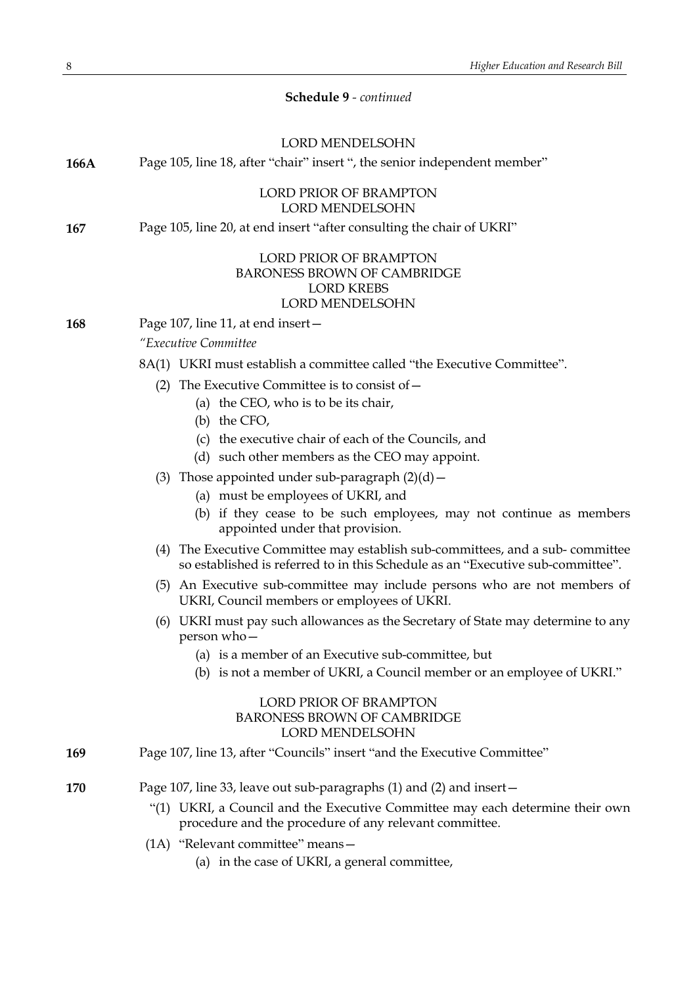| <b>Schedule 9</b> - continued |  |
|-------------------------------|--|
|-------------------------------|--|

|      | <b>LORD MENDELSOHN</b>                                                                                                                                           |
|------|------------------------------------------------------------------------------------------------------------------------------------------------------------------|
| 166A | Page 105, line 18, after "chair" insert ", the senior independent member"                                                                                        |
|      | <b>LORD PRIOR OF BRAMPTON</b><br><b>LORD MENDELSOHN</b>                                                                                                          |
| 167  | Page 105, line 20, at end insert "after consulting the chair of UKRI"                                                                                            |
|      | <b>LORD PRIOR OF BRAMPTON</b><br><b>BARONESS BROWN OF CAMBRIDGE</b><br><b>LORD KREBS</b><br>LORD MENDELSOHN                                                      |
| 168  | Page 107, line 11, at end insert -                                                                                                                               |
|      | "Executive Committee                                                                                                                                             |
|      | 8A(1) UKRI must establish a committee called "the Executive Committee".                                                                                          |
|      | The Executive Committee is to consist of $-$<br>(2)                                                                                                              |
|      | (a) the CEO, who is to be its chair,                                                                                                                             |
|      | (b) the CFO,                                                                                                                                                     |
|      | (c) the executive chair of each of the Councils, and                                                                                                             |
|      | (d) such other members as the CEO may appoint.                                                                                                                   |
|      | (3) Those appointed under sub-paragraph $(2)(d)$ –<br>(a) must be employees of UKRI, and                                                                         |
|      | (b) if they cease to be such employees, may not continue as members<br>appointed under that provision.                                                           |
|      | (4) The Executive Committee may establish sub-committees, and a sub-committee<br>so established is referred to in this Schedule as an "Executive sub-committee". |
|      | (5) An Executive sub-committee may include persons who are not members of<br>UKRI, Council members or employees of UKRI.                                         |
|      | (6) UKRI must pay such allowances as the Secretary of State may determine to any<br>person who-                                                                  |
|      | (a) is a member of an Executive sub-committee, but                                                                                                               |
|      | (b) is not a member of UKRI, a Council member or an employee of UKRI."                                                                                           |
|      | <b>LORD PRIOR OF BRAMPTON</b><br><b>BARONESS BROWN OF CAMBRIDGE</b><br>LORD MENDELSOHN                                                                           |
| 169  | Page 107, line 13, after "Councils" insert "and the Executive Committee"                                                                                         |
| 170  | Page 107, line 33, leave out sub-paragraphs (1) and (2) and insert-                                                                                              |
|      | "(1) UKRI, a Council and the Executive Committee may each determine their own<br>procedure and the procedure of any relevant committee.                          |
|      | $(1A)$ "Relevant committee" means -                                                                                                                              |
|      | (a) in the case of UKRI, a general committee,                                                                                                                    |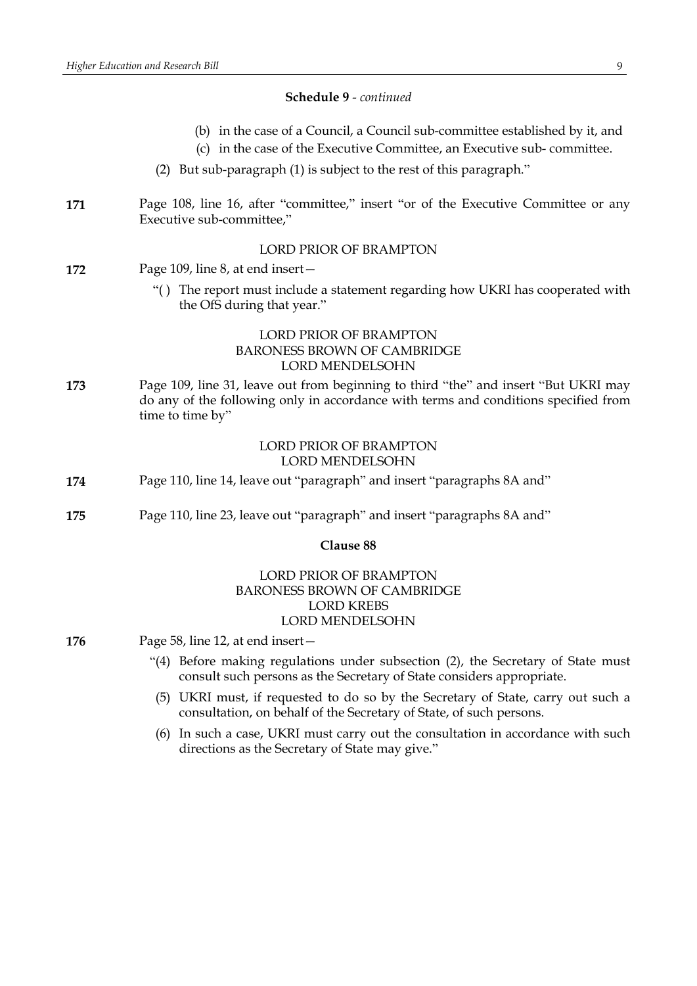#### **Schedule 9** *- continued*

- (b) in the case of a Council, a Council sub-committee established by it, and
- (c) in the case of the Executive Committee, an Executive sub- committee.
- (2) But sub-paragraph (1) is subject to the rest of this paragraph."
- **171** Page 108, line 16, after "committee," insert "or of the Executive Committee or any Executive sub-committee,"

# LORD PRIOR OF BRAMPTON

- **172** Page 109, line 8, at end insert—
	- "( ) The report must include a statement regarding how UKRI has cooperated with the OfS during that year."

# LORD PRIOR OF BRAMPTON BARONESS BROWN OF CAMBRIDGE LORD MENDELSOHN

**173** Page 109, line 31, leave out from beginning to third "the" and insert "But UKRI may do any of the following only in accordance with terms and conditions specified from time to time by"

#### LORD PRIOR OF BRAMPTON LORD MENDELSOHN

- **174** Page 110, line 14, leave out "paragraph" and insert "paragraphs 8A and"
- **175** Page 110, line 23, leave out "paragraph" and insert "paragraphs 8A and"

#### **Clause 88**

# LORD PRIOR OF BRAMPTON BARONESS BROWN OF CAMBRIDGE LORD KREBS LORD MENDELSOHN

- **176** Page 58, line 12, at end insert—
	- "(4) Before making regulations under subsection (2), the Secretary of State must consult such persons as the Secretary of State considers appropriate.
	- (5) UKRI must, if requested to do so by the Secretary of State, carry out such a consultation, on behalf of the Secretary of State, of such persons.
	- (6) In such a case, UKRI must carry out the consultation in accordance with such directions as the Secretary of State may give."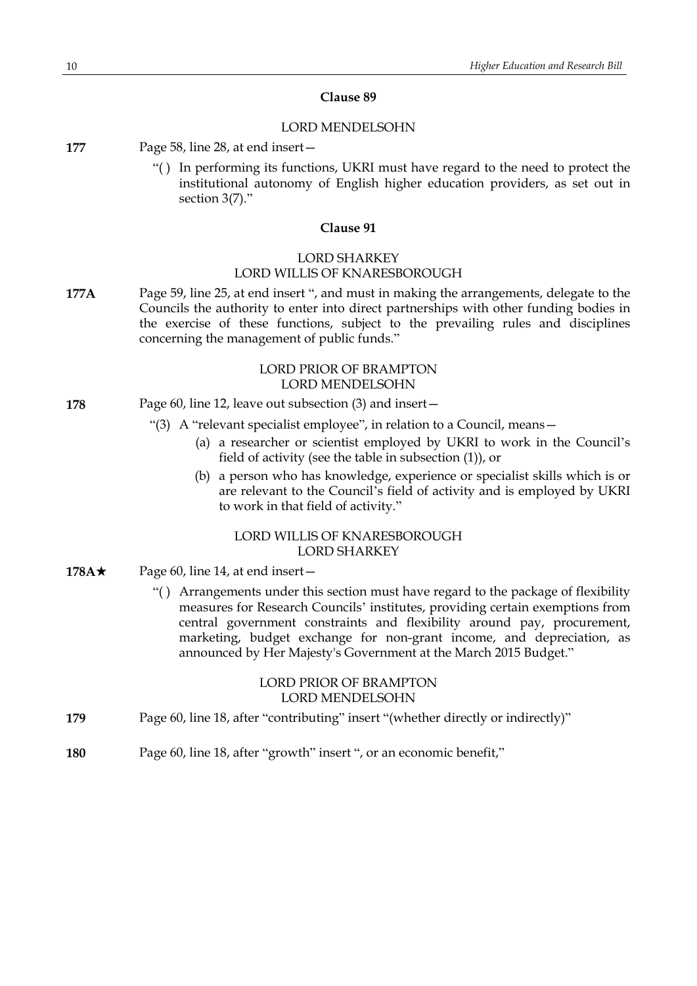#### **Clause 89**

#### LORD MENDELSOHN

- **177** Page 58, line 28, at end insert—
	- "( ) In performing its functions, UKRI must have regard to the need to protect the institutional autonomy of English higher education providers, as set out in section 3(7)."

#### **Clause 91**

# LORD SHARKEY LORD WILLIS OF KNARESBOROUGH

**177A** Page 59, line 25, at end insert ", and must in making the arrangements, delegate to the Councils the authority to enter into direct partnerships with other funding bodies in the exercise of these functions, subject to the prevailing rules and disciplines concerning the management of public funds."

# LORD PRIOR OF BRAMPTON LORD MENDELSOHN

- **178** Page 60, line 12, leave out subsection (3) and insert—
	- "(3) A "relevant specialist employee", in relation to a Council, means—
		- (a) a researcher or scientist employed by UKRI to work in the Council's field of activity (see the table in subsection (1)), or
		- (b) a person who has knowledge, experience or specialist skills which is or are relevant to the Council's field of activity and is employed by UKRI to work in that field of activity."

# LORD WILLIS OF KNARESBOROUGH LORD SHARKEY

- **178A** $\star$  Page 60, line 14, at end insert—
	- "( ) Arrangements under this section must have regard to the package of flexibility measures for Research Councils' institutes, providing certain exemptions from central government constraints and flexibility around pay, procurement, marketing, budget exchange for non-grant income, and depreciation, as announced by Her Majesty's Government at the March 2015 Budget."

#### LORD PRIOR OF BRAMPTON LORD MENDELSOHN

- **179** Page 60, line 18, after "contributing" insert "(whether directly or indirectly)"
- **180** Page 60, line 18, after "growth" insert ", or an economic benefit,"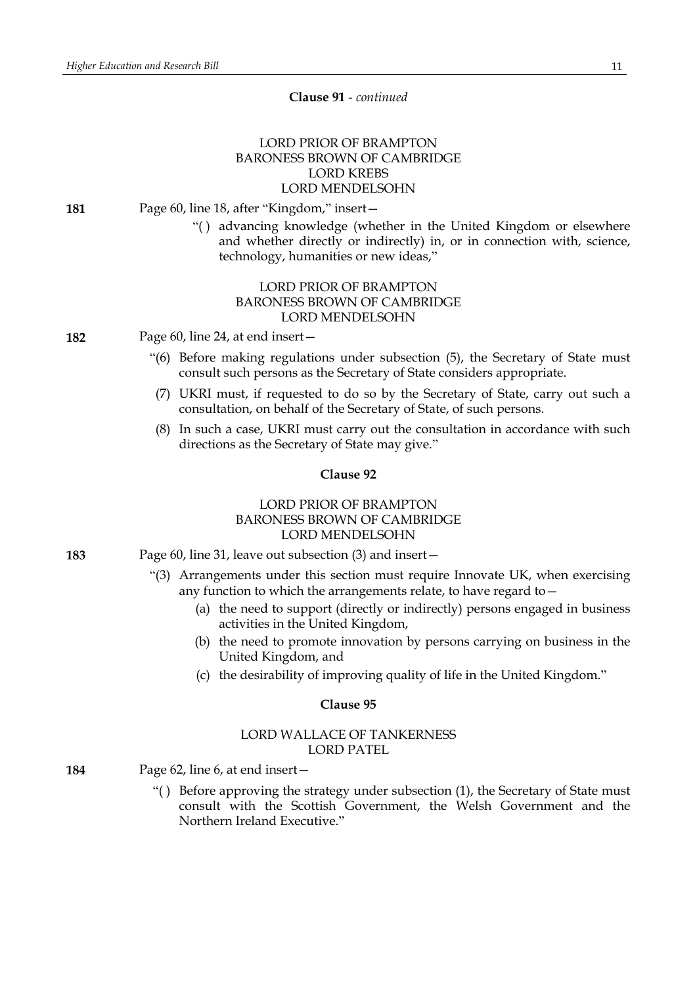# LORD PRIOR OF BRAMPTON BARONESS BROWN OF CAMBRIDGE LORD KREBS LORD MENDELSOHN

#### **181** Page 60, line 18, after "Kingdom," insert—

"( ) advancing knowledge (whether in the United Kingdom or elsewhere and whether directly or indirectly) in, or in connection with, science, technology, humanities or new ideas,"

# LORD PRIOR OF BRAMPTON BARONESS BROWN OF CAMBRIDGE LORD MENDELSOHN

**182** Page 60, line 24, at end insert—

- "(6) Before making regulations under subsection (5), the Secretary of State must consult such persons as the Secretary of State considers appropriate.
- (7) UKRI must, if requested to do so by the Secretary of State, carry out such a consultation, on behalf of the Secretary of State, of such persons.
- (8) In such a case, UKRI must carry out the consultation in accordance with such directions as the Secretary of State may give."

#### **Clause 92**

# LORD PRIOR OF BRAMPTON BARONESS BROWN OF CAMBRIDGE LORD MENDELSOHN

- **183** Page 60, line 31, leave out subsection (3) and insert—
	- "(3) Arrangements under this section must require Innovate UK, when exercising any function to which the arrangements relate, to have regard to—
		- (a) the need to support (directly or indirectly) persons engaged in business activities in the United Kingdom,
		- (b) the need to promote innovation by persons carrying on business in the United Kingdom, and
		- (c) the desirability of improving quality of life in the United Kingdom."

#### **Clause 95**

#### LORD WALLACE OF TANKERNESS LORD PATEL

- **184** Page 62, line 6, at end insert—
	- "( ) Before approving the strategy under subsection (1), the Secretary of State must consult with the Scottish Government, the Welsh Government and the Northern Ireland Executive."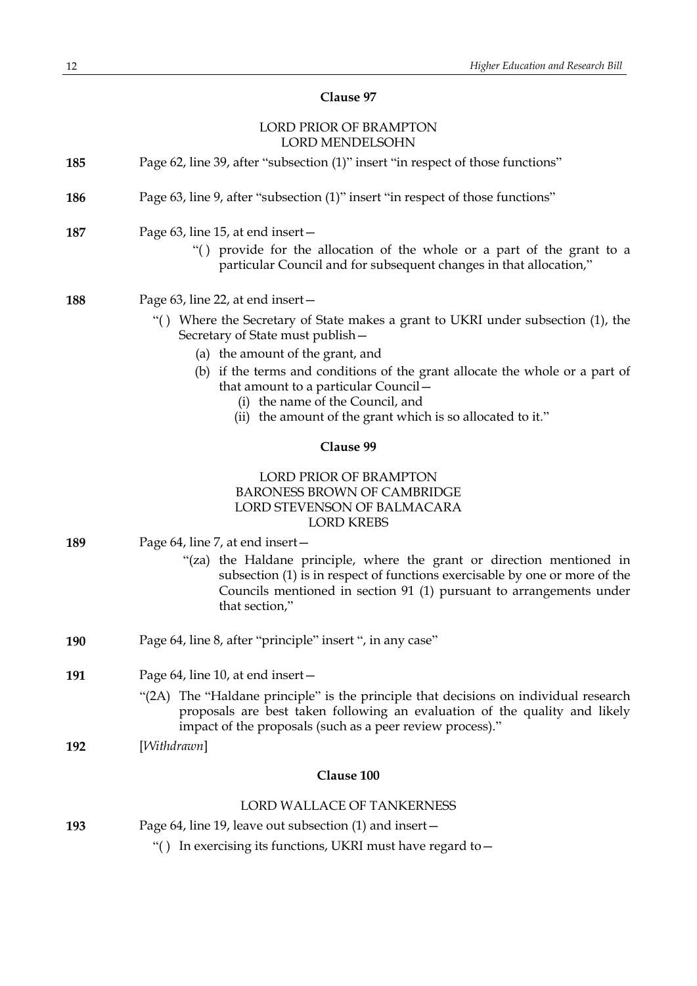# **Clause 97**

# LORD PRIOR OF BRAMPTON LORD MENDEL COUNT

|     | LUKD MENDELSUHN                                                                                                                                                                                                                                |
|-----|------------------------------------------------------------------------------------------------------------------------------------------------------------------------------------------------------------------------------------------------|
| 185 | Page 62, line 39, after "subsection (1)" insert "in respect of those functions"                                                                                                                                                                |
| 186 | Page 63, line 9, after "subsection (1)" insert "in respect of those functions"                                                                                                                                                                 |
| 187 | Page 63, line 15, at end insert -<br>"() provide for the allocation of the whole or a part of the grant to a<br>particular Council and for subsequent changes in that allocation,"                                                             |
| 188 | Page 63, line 22, at end insert –                                                                                                                                                                                                              |
|     | "() Where the Secretary of State makes a grant to UKRI under subsection (1), the<br>Secretary of State must publish -                                                                                                                          |
|     | (a) the amount of the grant, and                                                                                                                                                                                                               |
|     | (b) if the terms and conditions of the grant allocate the whole or a part of<br>that amount to a particular Council -                                                                                                                          |
|     | (i) the name of the Council, and<br>(ii) the amount of the grant which is so allocated to it."                                                                                                                                                 |
|     | Clause 99                                                                                                                                                                                                                                      |
|     | LORD PRIOR OF BRAMPTON<br><b>BARONESS BROWN OF CAMBRIDGE</b><br>LORD STEVENSON OF BALMACARA<br><b>LORD KREBS</b>                                                                                                                               |
| 189 | Page 64, line 7, at end insert-                                                                                                                                                                                                                |
|     | "(za) the Haldane principle, where the grant or direction mentioned in<br>subsection (1) is in respect of functions exercisable by one or more of the<br>Councils mentioned in section 91 (1) pursuant to arrangements under<br>that section," |
| 190 | Page 64, line 8, after "principle" insert ", in any case"                                                                                                                                                                                      |
| 191 | Page 64, line 10, at end insert-                                                                                                                                                                                                               |
|     | "(2A) The "Haldane principle" is the principle that decisions on individual research<br>proposals are best taken following an evaluation of the quality and likely<br>impact of the proposals (such as a peer review process)."                |
| 192 | [Withdrawn]                                                                                                                                                                                                                                    |
|     | Clause 100                                                                                                                                                                                                                                     |
|     | <b>LORD WALLACE OF TANKERNESS</b>                                                                                                                                                                                                              |
| 193 | Page 64, line 19, leave out subsection (1) and insert -                                                                                                                                                                                        |
|     | In exercising its functions, UKRI must have regard to -<br>$\cdot$ ()                                                                                                                                                                          |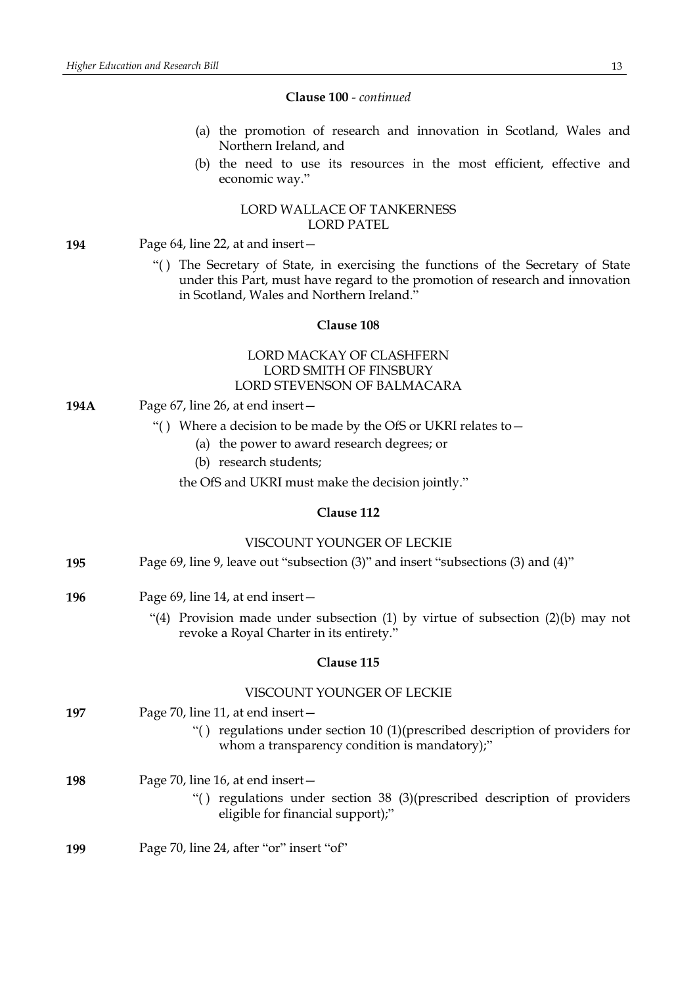#### **Clause 100** *- continued*

- (a) the promotion of research and innovation in Scotland, Wales and Northern Ireland, and
- (b) the need to use its resources in the most efficient, effective and economic way."

### LORD WALLACE OF TANKERNESS LORD PATEL

- **194** Page 64, line 22, at and insert—
	- "( ) The Secretary of State, in exercising the functions of the Secretary of State under this Part, must have regard to the promotion of research and innovation in Scotland, Wales and Northern Ireland."

#### **Clause 108**

# LORD MACKAY OF CLASHFERN LORD SMITH OF FINSBURY LORD STEVENSON OF BALMACARA

- **194A** Page 67, line 26, at end insert—
	- "( ) Where a decision to be made by the OfS or UKRI relates to—
		- (a) the power to award research degrees; or
		- (b) research students;

the OfS and UKRI must make the decision jointly."

#### **Clause 112**

#### VISCOUNT YOUNGER OF LECKIE

| Page 69, line 9, leave out "subsection (3)" and insert "subsections (3) and (4)" | 195 |  |  |  |  |
|----------------------------------------------------------------------------------|-----|--|--|--|--|
|----------------------------------------------------------------------------------|-----|--|--|--|--|

- **196** Page 69, line 14, at end insert—
	- "(4) Provision made under subsection (1) by virtue of subsection (2)(b) may not revoke a Royal Charter in its entirety."

#### **Clause 115**

#### VISCOUNT YOUNGER OF LECKIE

- **197** Page 70, line 11, at end insert—
	- "( ) regulations under section 10 (1)(prescribed description of providers for whom a transparency condition is mandatory);"
- **198** Page 70, line 16, at end insert—
	- "( ) regulations under section 38 (3)(prescribed description of providers eligible for financial support);"
- **199** Page 70, line 24, after "or" insert "of"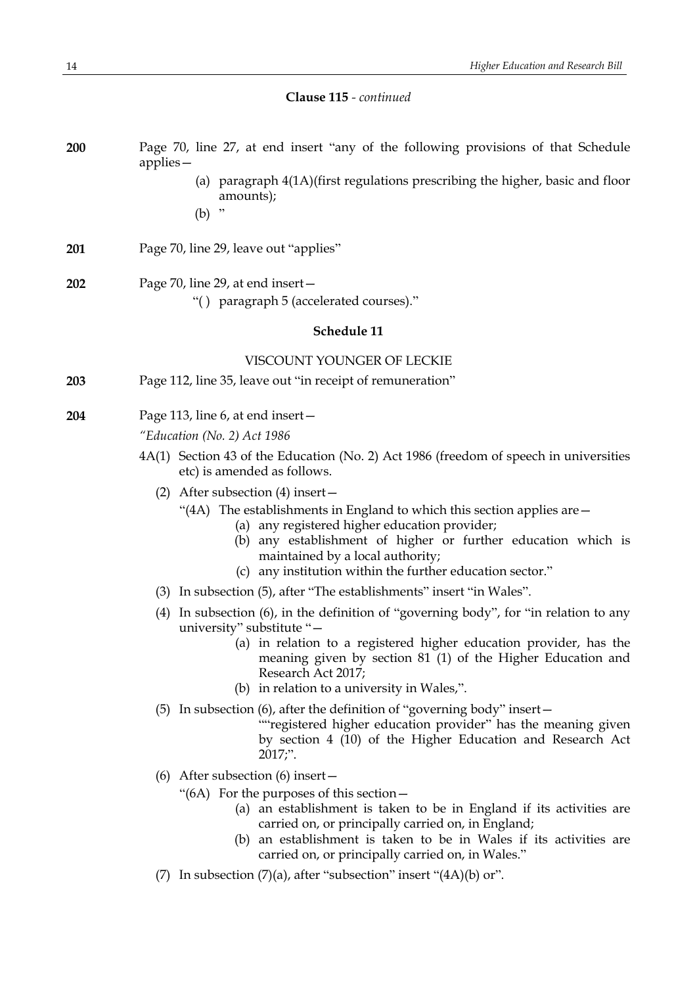| Clause 115 - continued |  |
|------------------------|--|
|------------------------|--|

| 200 | Page 70, line 27, at end insert "any of the following provisions of that Schedule<br>$applies -$                                                                                                                                                                                                       |
|-----|--------------------------------------------------------------------------------------------------------------------------------------------------------------------------------------------------------------------------------------------------------------------------------------------------------|
|     | (a) paragraph 4(1A)(first regulations prescribing the higher, basic and floor<br>amounts);                                                                                                                                                                                                             |
|     | (b)                                                                                                                                                                                                                                                                                                    |
| 201 | Page 70, line 29, leave out "applies"                                                                                                                                                                                                                                                                  |
| 202 | Page 70, line 29, at end insert -<br>"() paragraph 5 (accelerated courses)."                                                                                                                                                                                                                           |
|     | Schedule 11                                                                                                                                                                                                                                                                                            |
|     | VISCOUNT YOUNGER OF LECKIE                                                                                                                                                                                                                                                                             |
| 203 | Page 112, line 35, leave out "in receipt of remuneration"                                                                                                                                                                                                                                              |
| 204 | Page 113, line 6, at end insert-                                                                                                                                                                                                                                                                       |
|     | "Education (No. 2) Act 1986                                                                                                                                                                                                                                                                            |
|     | 4A(1) Section 43 of the Education (No. 2) Act 1986 (freedom of speech in universities<br>etc) is amended as follows.                                                                                                                                                                                   |
|     | After subsection (4) insert –<br>(2)                                                                                                                                                                                                                                                                   |
|     | "(4A) The establishments in England to which this section applies are $-$<br>(a) any registered higher education provider;<br>(b) any establishment of higher or further education which is<br>maintained by a local authority;                                                                        |
|     | (c) any institution within the further education sector."                                                                                                                                                                                                                                              |
|     | (3) In subsection (5), after "The establishments" insert "in Wales".<br>(4) In subsection (6), in the definition of "governing body", for "in relation to any                                                                                                                                          |
|     | university" substitute "-<br>(a) in relation to a registered higher education provider, has the<br>meaning given by section 81 (1) of the Higher Education and<br>Research Act 2017;<br>(b) in relation to a university in Wales,".                                                                    |
|     | $(5)$ In subsection $(6)$ , after the definition of "governing body" insert –                                                                                                                                                                                                                          |
|     | ""registered higher education provider" has the meaning given<br>by section 4 (10) of the Higher Education and Research Act<br>$2017$ ;".                                                                                                                                                              |
|     | (6) After subsection (6) insert $-$                                                                                                                                                                                                                                                                    |
|     | " $(6A)$ For the purposes of this section $-$<br>(a) an establishment is taken to be in England if its activities are<br>carried on, or principally carried on, in England;<br>(b) an establishment is taken to be in Wales if its activities are<br>carried on, or principally carried on, in Wales." |
|     | In subsection $(7)(a)$ , after "subsection" insert " $(4A)(b)$ or".<br>(7)                                                                                                                                                                                                                             |
|     |                                                                                                                                                                                                                                                                                                        |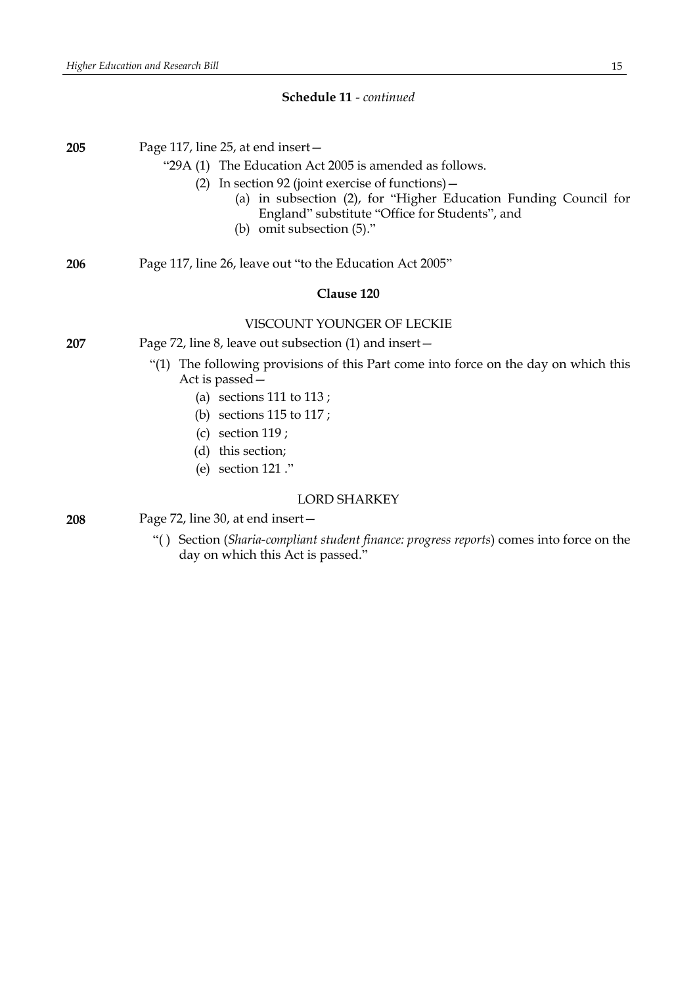#### **Schedule 11** *- continued*

**205** Page 117, line 25, at end insert— "29A (1) The Education Act 2005 is amended as follows. (2) In section 92 (joint exercise of functions)— (a) in subsection (2), for "Higher Education Funding Council for England" substitute "Office for Students", and (b) omit subsection (5)." **206** Page 117, line 26, leave out "to the Education Act 2005" **Clause 120** VISCOUNT YOUNGER OF LECKIE **207** Page 72, line 8, leave out subsection (1) and insert— "(1) The following provisions of this Part come into force on the day on which this Act is passed— (a) sections 111 to 113 ; (b) sections 115 to 117 ; (c) section 119 ; (d) this section; (e) section 121 ." LORD SHARKEY **208** Page 72, line 30, at end insert—

> "( ) Section (*Sharia-compliant student finance: progress reports*) comes into force on the day on which this Act is passed."